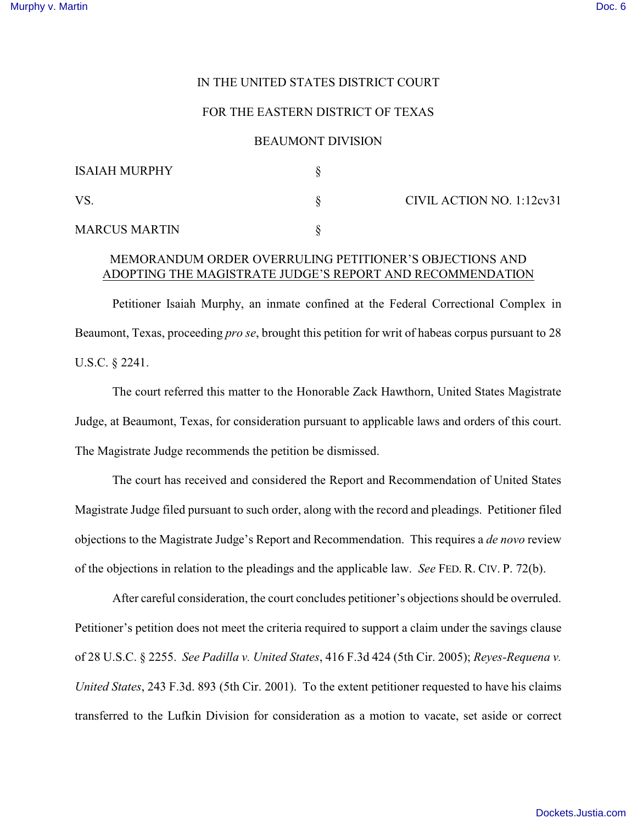### IN THE UNITED STATES DISTRICT COURT

#### FOR THE EASTERN DISTRICT OF TEXAS

#### BEAUMONT DIVISION

| <b>ISAIAH MURPHY</b> |                           |
|----------------------|---------------------------|
| <b>VS</b>            | CIVIL ACTION NO. 1:12cv31 |
| <b>MARCUS MARTIN</b> |                           |

# MEMORANDUM ORDER OVERRULING PETITIONER'S OBJECTIONS AND ADOPTING THE MAGISTRATE JUDGE'S REPORT AND RECOMMENDATION

Petitioner Isaiah Murphy, an inmate confined at the Federal Correctional Complex in Beaumont, Texas, proceeding *pro se*, brought this petition for writ of habeas corpus pursuant to 28 U.S.C. § 2241.

The court referred this matter to the Honorable Zack Hawthorn, United States Magistrate Judge, at Beaumont, Texas, for consideration pursuant to applicable laws and orders of this court. The Magistrate Judge recommends the petition be dismissed.

The court has received and considered the Report and Recommendation of United States Magistrate Judge filed pursuant to such order, along with the record and pleadings. Petitioner filed objections to the Magistrate Judge's Report and Recommendation. This requires a *de novo* review of the objections in relation to the pleadings and the applicable law. *See* FED. R. CIV. P. 72(b).

After careful consideration, the court concludes petitioner's objections should be overruled. Petitioner's petition does not meet the criteria required to support a claim under the savings clause of 28 U.S.C. § 2255. *See Padilla v. United States*, 416 F.3d 424 (5th Cir. 2005); *Reyes-Requena v. United States*, 243 F.3d. 893 (5th Cir. 2001). To the extent petitioner requested to have his claims transferred to the Lufkin Division for consideration as a motion to vacate, set aside or correct